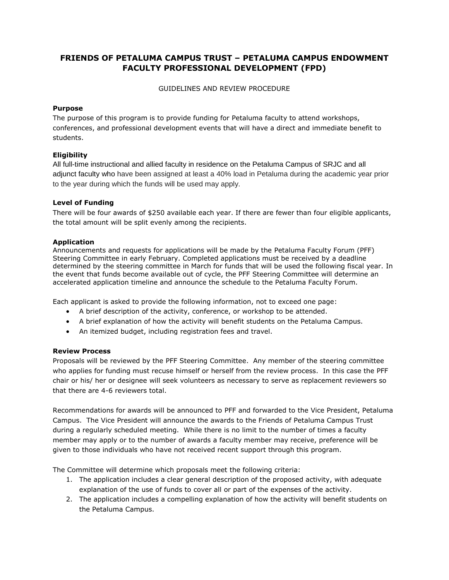# **FRIENDS OF PETALUMA CAMPUS TRUST – PETALUMA CAMPUS ENDOWMENT FACULTY PROFESSIONAL DEVELOPMENT (FPD)**

GUIDELINES AND REVIEW PROCEDURE

### **Purpose**

The purpose of this program is to provide funding for Petaluma faculty to attend workshops, conferences, and professional development events that will have a direct and immediate benefit to students.

## **Eligibility**

All full-time instructional and allied faculty in residence on the Petaluma Campus of SRJC and all adjunct faculty who have been assigned at least a 40% load in Petaluma during the academic year prior to the year during which the funds will be used may apply.

### **Level of Funding**

There will be four awards of \$250 available each year. If there are fewer than four eligible applicants, the total amount will be split evenly among the recipients.

### **[Application](http://www.santarosa.edu/src/PDF/New%20forms/FFAS_Application_2010-11.pdf)**

Announcements and requests for applications will be made by the Petaluma Faculty Forum (PFF) Steering Committee in early February. Completed applications must be received by a deadline determined by the steering committee in March for funds that will be used the following fiscal year. In the event that funds become available out of cycle, the PFF Steering Committee will determine an accelerated application timeline and announce the schedule to the Petaluma Faculty Forum.

Each applicant is asked to provide the following information, not to exceed one page:

- A brief description of the activity, conference, or workshop to be attended.
- A brief explanation of how the activity will benefit students on the Petaluma Campus.
- An itemized budget, including registration fees and travel.

#### **Review Process**

Proposals will be reviewed by the PFF Steering Committee. Any member of the steering committee who applies for funding must recuse himself or herself from the review process. In this case the PFF chair or his/ her or designee will seek volunteers as necessary to serve as replacement reviewers so that there are 4-6 reviewers total.

Recommendations for awards will be announced to PFF and forwarded to the Vice President, Petaluma Campus. The Vice President will announce the awards to the Friends of Petaluma Campus Trust during a regularly scheduled meeting. While there is no limit to the number of times a faculty member may apply or to the number of awards a faculty member may receive, preference will be given to those individuals who have not received recent support through this program.

The Committee will determine which proposals meet the following criteria:

- 1. The application includes a clear general description of the proposed activity, with adequate explanation of the use of funds to cover all or part of the expenses of the activity.
- 2. The application includes a compelling explanation of how the activity will benefit students on the Petaluma Campus.